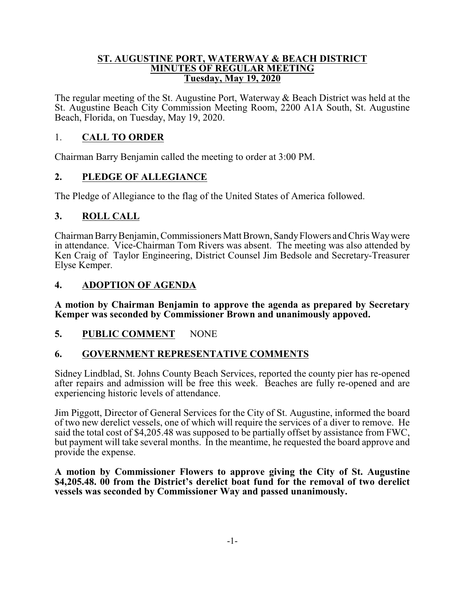#### **ST. AUGUSTINE PORT, WATERWAY & BEACH DISTRICT MINUTES OF REGULAR MEETING Tuesday, May 19, 2020**

The regular meeting of the St. Augustine Port, Waterway & Beach District was held at the St. Augustine Beach City Commission Meeting Room, 2200 A1A South, St. Augustine Beach, Florida, on Tuesday, May 19, 2020.

### 1. **CALL TO ORDER**

Chairman Barry Benjamin called the meeting to order at 3:00 PM.

# **2. PLEDGE OF ALLEGIANCE**

The Pledge of Allegiance to the flag of the United States of America followed.

# **3. ROLL CALL**

Chairman BarryBenjamin, Commissioners Matt Brown, SandyFlowers and Chris Waywere in attendance. Vice-Chairman Tom Rivers was absent. The meeting was also attended by Ken Craig of Taylor Engineering, District Counsel Jim Bedsole and Secretary-Treasurer Elyse Kemper.

# **4. ADOPTION OF AGENDA**

**A motion by Chairman Benjamin to approve the agenda as prepared by Secretary Kemper was seconded by Commissioner Brown and unanimously appoved.**

### **5. PUBLIC COMMENT** NONE

### **6. GOVERNMENT REPRESENTATIVE COMMENTS**

Sidney Lindblad, St. Johns County Beach Services, reported the county pier has re-opened after repairs and admission will be free this week. Beaches are fully re-opened and are experiencing historic levels of attendance.

Jim Piggott, Director of General Services for the City of St. Augustine, informed the board of two new derelict vessels, one of which will require the services of a diver to remove. He said the total cost of \$4,205.48 was supposed to be partially offset by assistance from FWC, but payment will take several months. In the meantime, he requested the board approve and provide the expense.

**A motion by Commissioner Flowers to approve giving the City of St. Augustine \$4,205.48. 00 from the District's derelict boat fund for the removal of two derelict vessels was seconded by Commissioner Way and passed unanimously.**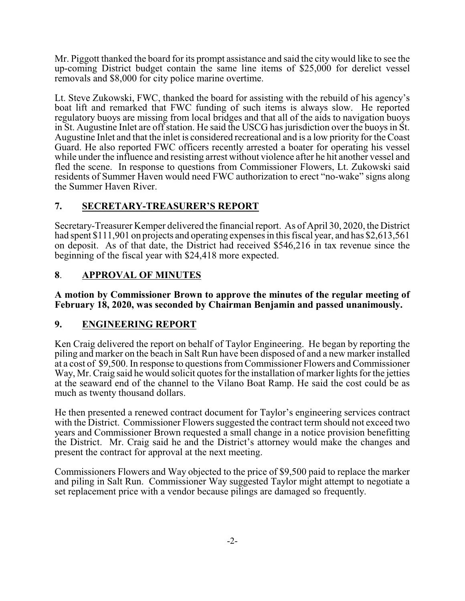Mr. Piggott thanked the board for its prompt assistance and said the city would like to see the up-coming District budget contain the same line items of \$25,000 for derelict vessel removals and \$8,000 for city police marine overtime.

Lt. Steve Zukowski, FWC, thanked the board for assisting with the rebuild of his agency's boat lift and remarked that FWC funding of such items is always slow. He reported regulatory buoys are missing from local bridges and that all of the aids to navigation buoys in St. Augustine Inlet are off station. He said the USCG has jurisdiction over the buoys in St. Augustine Inlet and that the inlet is considered recreational and is a low priority for the Coast Guard. He also reported FWC officers recently arrested a boater for operating his vessel while under the influence and resisting arrest without violence after he hit another vessel and fled the scene. In response to questions from Commissioner Flowers, Lt. Zukowski said residents of Summer Haven would need FWC authorization to erect "no-wake" signs along the Summer Haven River.

# **7. SECRETARY-TREASURER'S REPORT**

Secretary-Treasurer Kemper delivered the financial report. As of April 30, 2020, the District had spent \$111,901 on projects and operating expenses in this fiscal year, and has \$2,613,561 on deposit. As of that date, the District had received \$546,216 in tax revenue since the beginning of the fiscal year with \$24,418 more expected.

# **8**. **APPROVAL OF MINUTES**

#### **A motion by Commissioner Brown to approve the minutes of the regular meeting of February 18, 2020, was seconded by Chairman Benjamin and passed unanimously.**

### **9. ENGINEERING REPORT**

Ken Craig delivered the report on behalf of Taylor Engineering. He began by reporting the piling and marker on the beach in Salt Run have been disposed of and a new marker installed at a cost of \$9,500. In response to questions fromCommissioner Flowers and Commissioner Way, Mr. Craig said he would solicit quotes for the installation of marker lights for the jetties at the seaward end of the channel to the Vilano Boat Ramp. He said the cost could be as much as twenty thousand dollars.

He then presented a renewed contract document for Taylor's engineering services contract with the District. Commissioner Flowers suggested the contract term should not exceed two years and Commissioner Brown requested a small change in a notice provision benefitting the District. Mr. Craig said he and the District's attorney would make the changes and present the contract for approval at the next meeting.

Commissioners Flowers and Way objected to the price of \$9,500 paid to replace the marker and piling in Salt Run. Commissioner Way suggested Taylor might attempt to negotiate a set replacement price with a vendor because pilings are damaged so frequently.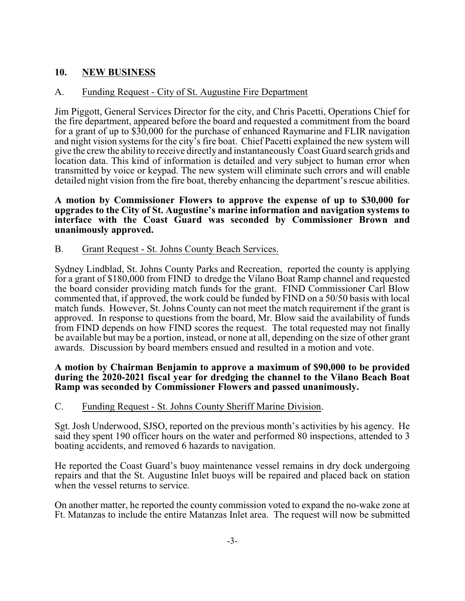# **10. NEW BUSINESS**

### A. Funding Request - City of St. Augustine Fire Department

Jim Piggott, General Services Director for the city, and Chris Pacetti, Operations Chief for the fire department, appeared before the board and requested a commitment from the board for a grant of up to  $$30,000$  for the purchase of enhanced Raymarine and FLIR navigation and night vision systems for the city's fire boat. Chief Pacetti explained the new system will give the crew the ability to receive directly and instantaneously Coast Guard search grids and location data. This kind of information is detailed and very subject to human error when transmitted by voice or keypad. The new system will eliminate such errors and will enable detailed night vision from the fire boat, thereby enhancing the department's rescue abilities.

**A motion by Commissioner Flowers to approve the expense of up to \$30,000 for upgrades to the City of St. Augustine's marine information and navigation systems to interface with the Coast Guard was seconded by Commissioner Brown and unanimously approved.**

#### B. Grant Request - St. Johns County Beach Services.

Sydney Lindblad, St. Johns County Parks and Recreation, reported the county is applying for a grant of \$180,000 from FIND to dredge the Vilano Boat Ramp channel and requested the board consider providing match funds for the grant. FIND Commissioner Carl Blow commented that, if approved, the work could be funded by FIND on a 50/50 basis with local match funds. However, St. Johns County can not meet the match requirement if the grant is approved. In response to questions from the board, Mr. Blow said the availability of funds from FIND depends on how FIND scores the request. The total requested may not finally be available but may be a portion, instead, or none at all, depending on the size of other grant awards. Discussion by board members ensued and resulted in a motion and vote.

#### **A motion by Chairman Benjamin to approve a maximum of \$90,000 to be provided during the 2020-2021 fiscal year for dredging the channel to the Vilano Beach Boat Ramp was seconded by Commissioner Flowers and passed unanimously.**

#### C. Funding Request - St. Johns County Sheriff Marine Division.

Sgt. Josh Underwood, SJSO, reported on the previous month's activities by his agency. He said they spent 190 officer hours on the water and performed 80 inspections, attended to 3 boating accidents, and removed 6 hazards to navigation.

He reported the Coast Guard's buoy maintenance vessel remains in dry dock undergoing repairs and that the St. Augustine Inlet buoys will be repaired and placed back on station when the vessel returns to service.

On another matter, he reported the county commission voted to expand the no-wake zone at Ft. Matanzas to include the entire Matanzas Inlet area. The request will now be submitted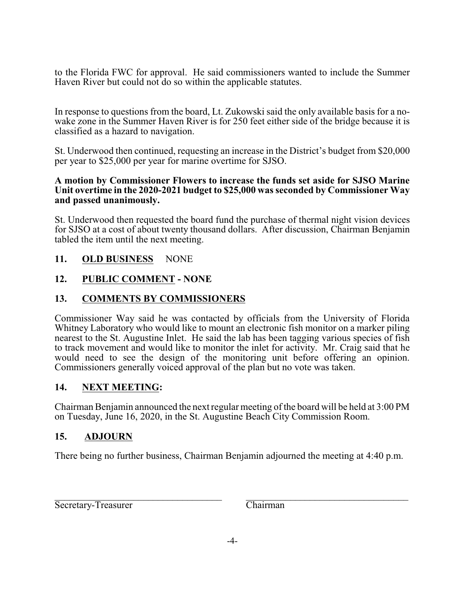to the Florida FWC for approval. He said commissioners wanted to include the Summer Haven River but could not do so within the applicable statutes.

In response to questions from the board, Lt. Zukowski said the only available basis for a nowake zone in the Summer Haven River is for 250 feet either side of the bridge because it is classified as a hazard to navigation.

St. Underwood then continued, requesting an increase in the District's budget from \$20,000 per year to \$25,000 per year for marine overtime for SJSO.

#### **A motion by Commissioner Flowers to increase the funds set aside for SJSO Marine Unit overtime in the 2020-2021 budget to \$25,000 was seconded by Commissioner Way and passed unanimously.**

St. Underwood then requested the board fund the purchase of thermal night vision devices for SJSO at a cost of about twenty thousand dollars. After discussion, Chairman Benjamin tabled the item until the next meeting.

# **11. OLD BUSINESS** NONE

# **12. PUBLIC COMMENT - NONE**

# **13. COMMENTS BY COMMISSIONERS**

Commissioner Way said he was contacted by officials from the University of Florida Whitney Laboratory who would like to mount an electronic fish monitor on a marker piling nearest to the St. Augustine Inlet. He said the lab has been tagging various species of fish to track movement and would like to monitor the inlet for activity. Mr. Craig said that he would need to see the design of the monitoring unit before offering an opinion. Commissioners generally voiced approval of the plan but no vote was taken.

# **14. NEXT MEETING:**

Chairman Benjamin announced the next regular meeting of the board will be held at 3:00 PM on Tuesday, June 16, 2020, in the St. Augustine Beach City Commission Room.

# **15. ADJOURN**

There being no further business, Chairman Benjamin adjourned the meeting at 4:40 p.m.

Secretary-Treasurer Chairman

 $\mathcal{L}_\text{max} = \mathcal{L}_\text{max} = \mathcal{L}_\text{max} = \mathcal{L}_\text{max} = \mathcal{L}_\text{max} = \mathcal{L}_\text{max} = \mathcal{L}_\text{max} = \mathcal{L}_\text{max} = \mathcal{L}_\text{max} = \mathcal{L}_\text{max} = \mathcal{L}_\text{max} = \mathcal{L}_\text{max} = \mathcal{L}_\text{max} = \mathcal{L}_\text{max} = \mathcal{L}_\text{max} = \mathcal{L}_\text{max} = \mathcal{L}_\text{max} = \mathcal{L}_\text{max} = \mathcal{$